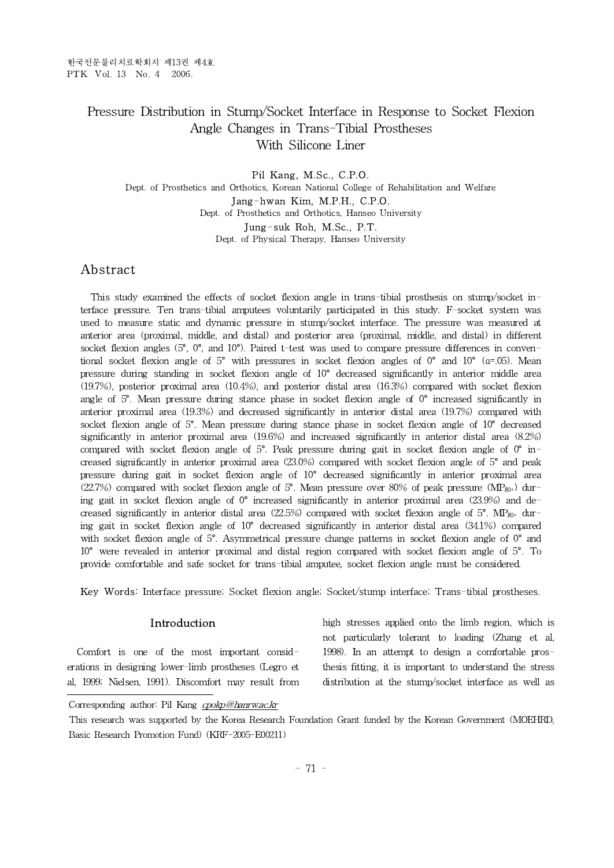# Pressure Distribution in Stump/Socket Interface in Response to Socket Flexion Angle Changes in Trans-Tibial Prostheses With Silicone Liner

Pil Kang, M.Sc., C.P.O. Dept. of Prosthetics and Orthotics, Korean National College of Rehabilitation and Welfare Jang-hwan Kim, M.P.H., C.P.O. Dept. of Prosthetics and Orthotics, Hanseo University Jung-suk Roh, M.Sc., P.T. Dept. of Physical Therapy, Hanseo University

# Abstract

This study examined the effects of socket flexion angle in trans-tibial prosthesis on stump/socket interface pressure. Ten trans-tibial amputees voluntarily participated in this study. F-socket system was used to measure static and dynamic pressure in stump/socket interface. The pressure was measured at anterior area (proximal, middle, and distal) and posterior area (proximal, middle, and distal) in different socket flexion angles  $(5^{\circ}, 0^{\circ},$  and  $10^{\circ})$ . Paired t-test was used to compare pressure differences in conventional socket flexion angle of 5° with pressures in socket flexion angles of  $0^{\circ}$  and  $10^{\circ}$  ( $\alpha$ =.05). Mean pressure during standing in socket flexion angle of 10° decreased significantly in anterior middle area (19.7%), posterior proximal area (10.4%), and posterior distal area (16.3%) compared with socket flexion angle of 5°. Mean pressure during stance phase in socket flexion angle of 0° increased significantly in anterior proximal area (19.3%) and decreased significantly in anterior distal area (19.7%) compared with socket flexion angle of 5°. Mean pressure during stance phase in socket flexion angle of 10° decreased significantly in anterior proximal area (19.6%) and increased significantly in anterior distal area (8.2%) compared with socket flexion angle of  $5^{\circ}$ . Peak pressure during gait in socket flexion angle of  $0^{\circ}$  increased significantly in anterior proximal area (23.0%) compared with socket flexion angle of 5° and peak pressure during gait in socket flexion angle of 10° decreased significantly in anterior proximal area (22.7%) compared with socket flexion angle of 5°. Mean pressure over 80% of peak pressure (MP<sub>80+</sub>) during gait in socket flexion angle of  $0^{\circ}$  increased significantly in anterior proximal area (23.9%) and decreased significantly in anterior distal area (22.5%) compared with socket flexion angle of 5°. MP $_{80+}$  during gait in socket flexion angle of 10° decreased significantly in anterior distal area (34.1%) compared with socket flexion angle of  $5^\circ$ . Asymmetrical pressure change patterns in socket flexion angle of  $0^\circ$  and 10° were revealed in anterior proximal and distal region compared with socket flexion angle of 5°. To provide comfortable and safe socket for trans-tibial amputee, socket flexion angle must be considered.

Key Words: Interface pressure; Socket flexion angle; Socket/stump interface; Trans-tibial prostheses.

# Introduction

Comfort is one of the most important considerations in designing lower-limb prostheses (Legro et al, 1999; Nielsen, 1991). Discomfort may result from high stresses applied onto the limb region, which is not particularly tolerant to loading (Zhang et al, 1998). In an attempt to design a comfortable prosthesis fitting, it is important to understand the stress distribution at the stump/socket interface as well as

Corresponding author: Pil Kang cpokp@hanrw.ac.kr

This research was supported by the Korea Research Foundation Grant funded by the Korean Government (MOEHRD, Basic Research Promotion Fund) (KRF-2005-E00211)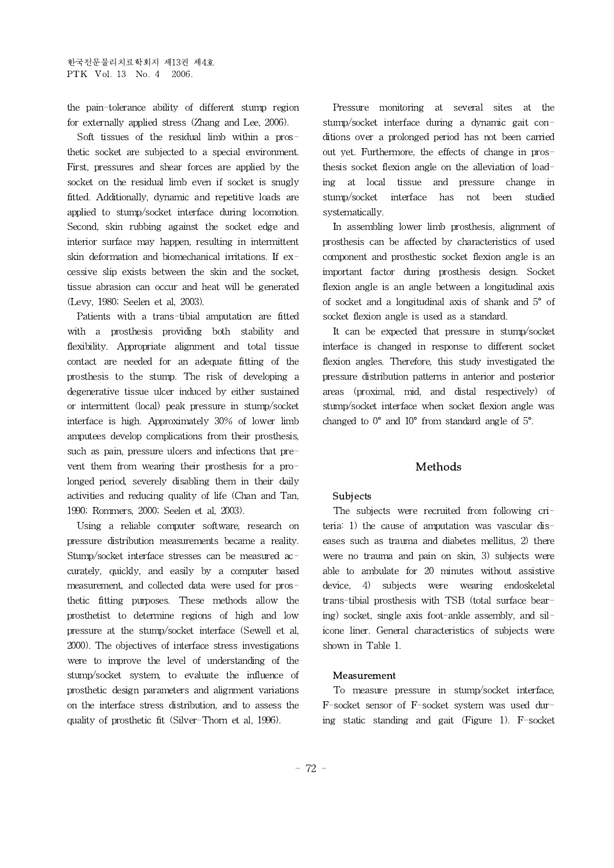the pain-tolerance ability of different stump region for externally applied stress (Zhang and Lee, 2006).

Soft tissues of the residual limb within a prosthetic socket are subjected to a special environment. First, pressures and shear forces are applied by the socket on the residual limb even if socket is snugly ing at local fitted. Additionally, dynamic and repetitive loads are applied to stump/socket interface during locomotion. Second, skin rubbing against the socket edge and interior surface may happen, resulting in intermittent skin deformation and biomechanical irritations. If excessive slip exists between the skin and the socket, tissue abrasion can occur and heat will be generated (Levy, 1980; Seelen et al, 2003).

Patients with a trans-tibial amputation are fitted with a prosthesis providing both stability and flexibility. Appropriate alignment and total tissue contact are needed for an adequate fitting of the prosthesis to the stump. The risk of developing a degenerative tissue ulcer induced by either sustained or intermittent (local) peak pressure in stump/socket interface is high. Approximately 30% of lower limb amputees develop complications from their prosthesis, such as pain, pressure ulcers and infections that prevent them from wearing their prosthesis for a prolonged period, severely disabling them in their daily activities and reducing quality of life (Chan and Tan, 1990; Rommers, 2000; Seelen et al, 2003).

Using a reliable computer software, research on pressure distribution measurements became a reality. Stump/socket interface stresses can be measured accurately, quickly, and easily by a computer based measurement, and collected data were used for prosthetic fitting purposes. These methods allow the prosthetist to determine regions of high and low pressure at the stump/socket interface (Sewell et al, 2000). The objectives of interface stress investigations were to improve the level of understanding of the stump/socket system, to evaluate the influence of prosthetic design parameters and alignment variations on the interface stress distribution, and to assess the quality of prosthetic fit (Silver-Thorn et al, 1996).

Pressure monitoring at several sites at the stump/socket interface during a dynamic gait conditions over a prolonged period has not been carried out yet. Furthermore, the effects of change in prosthesis socket flexion angle on the alleviation of loadtissue and pressure change in stump/socket interface has not been studied systematically.

In assembling lower limb prosthesis, alignment of prosthesis can be affected by characteristics of used component and prosthestic socket flexion angle is an important factor during prosthesis design. Socket flexion angle is an angle between a longitudinal axis of socket and a longitudinal axis of shank and 5° of socket flexion angle is used as a standard.

It can be expected that pressure in stump/socket interface is changed in response to different socket flexion angles. Therefore, this study investigated the pressure distribution patterns in anterior and posterior areas (proximal, mid, and distal respectively) of stump/socket interface when socket flexion angle was changed to 0° and 10° from standard angle of 5°.

# Methods

### **Subjects**

The subjects were recruited from following criteria: 1) the cause of amputation was vascular diseases such as trauma and diabetes mellitus, 2) there were no trauma and pain on skin, 3) subjects were able to ambulate for 20 minutes without assistive device, 4) subjects were wearing endoskeletal trans-tibial prosthesis with TSB (total surface bearing) socket, single axis foot-ankle assembly, and silicone liner. General characteristics of subjects were shown in Table 1.

### Measurement

To measure pressure in stump/socket interface, F-socket sensor of F-socket system was used during static standing and gait (Figure 1). F-socket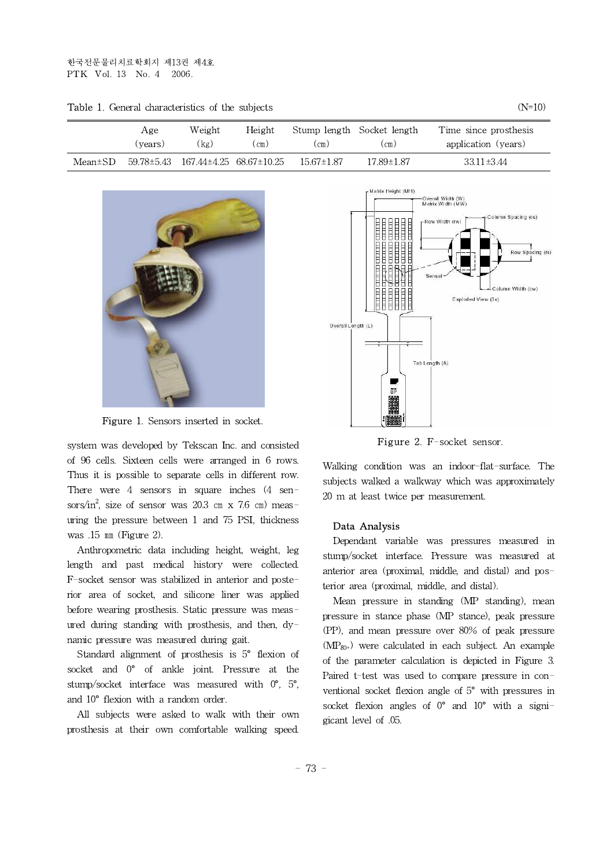|         | Age     | Weight<br>Height                   |      |                  | Stump length Socket length | Time since prosthesis |  |
|---------|---------|------------------------------------|------|------------------|----------------------------|-----------------------|--|
|         | (vears) | (kg)                               | (cm) | (cm)             | (cm)                       | application (years)   |  |
| Mean±SD |         | 59.78±5.43 167.44±4.25 68.67±10.25 |      | $15.67 \pm 1.87$ | 17.89±1.87                 | $33.11 \pm 3.44$      |  |

**Table 1.** General characteristics of the subjects  $(N=10)$ 



Figure 1. Sensors inserted in socket.

system was developed by Tekscan Inc. and consisted of 96 cells. Sixteen cells were arranged in 6 rows. Thus it is possible to separate cells in different row. There were 4 sensors in square inches (4 sensors/in<sup>2</sup>, size of sensor was 20.3 cm x 7.6 cm) measuring the pressure between 1 and 75 PSI, thickness was .15 ㎜ (Figure 2).

Anthropometric data including height, weight, leg length and past medical history were collected. F-socket sensor was stabilized in anterior and posterior area of socket, and silicone liner was applied before wearing prosthesis. Static pressure was measured during standing with prosthesis, and then, dynamic pressure was measured during gait.

Standard alignment of prosthesis is 5° flexion of socket and 0° of ankle joint. Pressure at the stump/socket interface was measured with 0°, 5°, and 10° flexion with a random order.

All subjects were asked to walk with their own prosthesis at their own comfortable walking speed.



Figure 2. F-socket sensor.

Walking condition was an indoor-flat-surface. The subjects walked a walkway which was approximately 20 m at least twice per measurement.

#### Data Analysis

Dependant variable was pressures measured in stump/socket interface. Pressure was measured at anterior area (proximal, middle, and distal) and posterior area (proximal, middle, and distal).

Mean pressure in standing (MP standing), mean pressure in stance phase (MP stance), peak pressure (PP), and mean pressure over 80% of peak pressure  $(MP_{80+})$  were calculated in each subject. An example of the parameter calculation is depicted in Figure 3. Paired t-test was used to compare pressure in conventional socket flexion angle of 5° with pressures in socket flexion angles of  $0^{\circ}$  and  $10^{\circ}$  with a signigicant level of .05.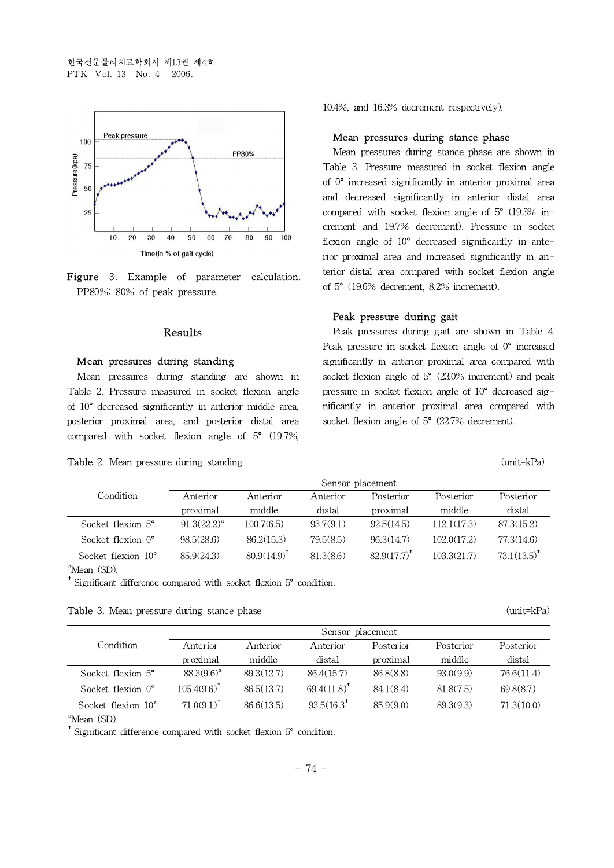



### Results

# Mean pressures during standing

Mean pressures during standing are shown in Table 2. Pressure measured in socket flexion angle of 10° decreased significantly in anterior middle area, posterior proximal area, and posterior distal area compared with socket flexion angle of 5° (19.7%,

| <b>Table 2.</b> Mean pressure during standing<br>the control of the control of the control of the control of the control of the control of the control of the control of the control of the control of the control of the control of the control of the control of the control | $(mit=kPa)$ |
|--------------------------------------------------------------------------------------------------------------------------------------------------------------------------------------------------------------------------------------------------------------------------------|-------------|
|--------------------------------------------------------------------------------------------------------------------------------------------------------------------------------------------------------------------------------------------------------------------------------|-------------|

10.4%, and 16.3% decrement respectively).

#### Mean pressures during stance phase

Mean pressures during stance phase are shown in Table 3. Pressure measured in socket flexion angle of 0° increased significantly in anterior proximal area and decreased significantly in anterior distal area compared with socket flexion angle of 5° (19.3% increment and 19.7% decrement). Pressure in socket flexion angle of 10° decreased significantly in anterior proximal area and increased significantly in anterior distal area compared with socket flexion angle of 5° (19.6% decrement, 8.2% increment).

### Peak pressure during gait

Peak pressures during gait are shown in Table 4. Peak pressure in socket flexion angle of 0° increased significantly in anterior proximal area compared with socket flexion angle of 5° (23.0% increment) and peak pressure in socket flexion angle of 10° decreased significantly in anterior proximal area compared with socket flexion angle of 5° (22.7% decrement).

|                             | Sensor placement |                  |           |            |             |                |  |
|-----------------------------|------------------|------------------|-----------|------------|-------------|----------------|--|
| Condition                   | Anterior         | Anterior         | Anterior  | Posterior  | Posterior   | Posterior      |  |
|                             | proximal         | middle           | distal    | proximal   | middle      | distal         |  |
| Socket flexion 5°           | $91.3(22.2)^{a}$ | 100.7(6.5)       | 93.7(9.1) | 92.5(14.5) | 112.1(17.3) | 87.3(15.2)     |  |
| Socket flexion $0^{\circ}$  | 98.5(28.6)       | 86.2(15.3)       | 79.5(8.5) | 96.3(14.7) | 102.0(17.2) | 77.3(14.6)     |  |
| Socket flexion $10^{\circ}$ | 85.9(24.3)       | $80.9(14.9)^{4}$ | 81.3(8.6) | 82.9(17.7) | 103.3(21.7) | $73.1(13.5)^*$ |  |

<sup>a</sup>Mean (SD).

†Significant difference compared with socket flexion 5° condition.

| <b>Table 3.</b> Mean pressure during stance phase | $(mit=kPa)$ |
|---------------------------------------------------|-------------|
|---------------------------------------------------|-------------|

|                             | Sensor placement |            |                        |           |           |            |  |
|-----------------------------|------------------|------------|------------------------|-----------|-----------|------------|--|
| Condition                   | Anterior         | Anterior   | Anterior               | Posterior | Posterior | Posterior  |  |
|                             | proximal         | middle     | distal                 | proximal  | middle    | distal     |  |
| Socket flexion $5^\circ$    | $88.3(9.6)^a$    | 89.3(12.7) | 86.4(15.7)             | 86.8(8.8) | 93.0(9.9) | 76.6(11.4) |  |
| Socket flexion $0^{\circ}$  | $105.4(9.6)^*$   | 86.5(13.7) | $69.4(11.8)^{4}$       | 84.1(8.4) | 81.8(7.5) | 69.8(8.7)  |  |
| Socket flexion $10^{\circ}$ | $71.0(9.1)^{T}$  | 86.6(13.5) | $93.5(16.3^{\dagger})$ | 85.9(9.0) | 89.3(9.3) | 71.3(10.0) |  |

<sup>a</sup>Mean (SD).

 $*$  Significant difference compared with socket flexion  $5^{\circ}$  condition.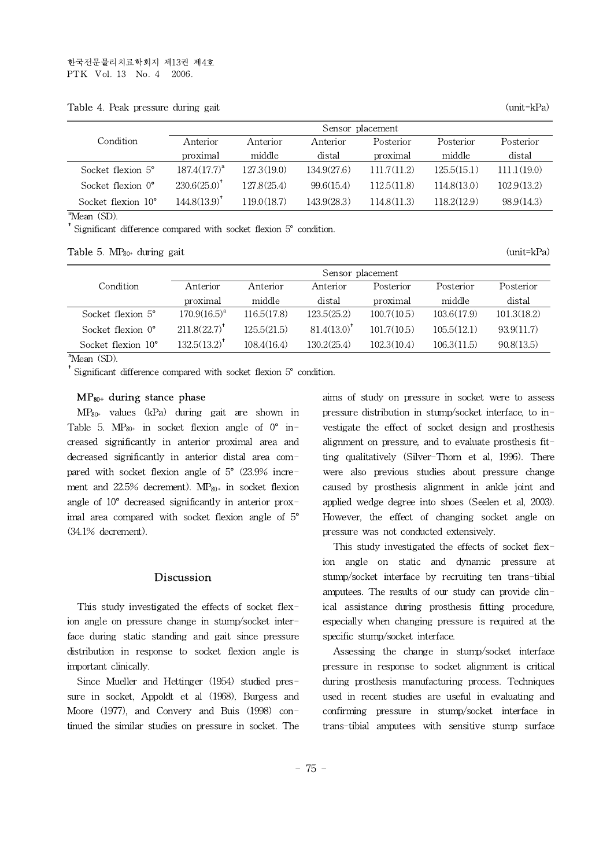Table 4. Peak pressure during gait (unit=kPa)

|                             | Sensor placement         |             |             |             |             |             |  |
|-----------------------------|--------------------------|-------------|-------------|-------------|-------------|-------------|--|
| Condition                   | Anterior                 | Anterior    | Anterior    | Posterior   | Posterior   | Posterior   |  |
|                             | proximal                 | middle      | distal      | proximal    | middle      | distal      |  |
| Socket flexion 5°           | $187.4(17.7)^{a}$        | 127.3(19.0) | 134.9(27.6) | 111.7(11.2) | 125.5(15.1) | 111.1(19.0) |  |
| Socket flexion $0^{\circ}$  | $230.6(25.0)^{4}$        | 127.8(25.4) | 99.6(15.4)  | 112.5(11.8) | 114.8(13.0) | 102.9(13.2) |  |
| Socket flexion $10^{\circ}$ | 144.8(13.9) <sup>†</sup> | 119.0(18.7) | 143.9(28.3) | 114.8(11.3) | 118.2(12.9) | 98.9(14.3)  |  |

 $a$ <sup>a</sup>Mean (SD).

†Significant difference compared with socket flexion 5° condition.

**Table 5.**  $MP_{80+}$  during gait  $\qquad \qquad$  (unit=kPa)

|                             | Sensor placement              |             |                  |             |             |             |  |
|-----------------------------|-------------------------------|-------------|------------------|-------------|-------------|-------------|--|
| Condition                   | Anterior                      | Anterior    | Anterior         | Posterior   | Posterior   | Posterior   |  |
|                             | proximal                      | middle      | distal           | proximal    | middle      | distal      |  |
| Socket flexion $5^\circ$    | $170.9(16.5)^{a}$             | 116.5(17.8) | 123.5(25.2)      | 100.7(10.5) | 103.6(17.9) | 101.3(18.2) |  |
| Socket flexion $0^{\circ}$  | $211.8(22.7)^{^{\mathrm{T}}}$ | 125.5(21.5) | $81.4(13.0)^{4}$ | 101.7(10.5) | 105.5(12.1) | 93.9(11.7)  |  |
| Socket flexion $10^{\circ}$ | $132.5(13.2)^{*}$             | 108.4(16.4) | 130.2(25.4)      | 102.3(10.4) | 106.3(11.5) | 90.8(13.5)  |  |

 $\overline{A}$ Mean (SD).

<sup>†</sup>Significant difference compared with socket flexion 5° condition.

### $MP<sub>80+</sub>$  during stance phase

 $MP_{80+}$  values (kPa) during gait are shown in Table 5.  $MP_{80^+}$  in socket flexion angle of  $0^\circ$  increased significantly in anterior proximal area and decreased significantly in anterior distal area compared with socket flexion angle of 5° (23.9% increment and  $22.5\%$  decrement).  $MP_{80+}$  in socket flexion angle of 10° decreased significantly in anterior proximal area compared with socket flexion angle of 5° (34.1% decrement).

## Discussion

This study investigated the effects of socket flexion angle on pressure change in stump/socket interface during static standing and gait since pressure distribution in response to socket flexion angle is important clinically.

Since Mueller and Hettinger (1954) studied pressure in socket, Appoldt et al (1968), Burgess and Moore (1977), and Convery and Buis (1998) continued the similar studies on pressure in socket. The aims of study on pressure in socket were to assess pressure distribution in stump/socket interface, to investigate the effect of socket design and prosthesis alignment on pressure, and to evaluate prosthesis fitting qualitatively (Silver-Thorn et al, 1996). There were also previous studies about pressure change caused by prosthesis alignment in ankle joint and applied wedge degree into shoes (Seelen et al, 2003). However, the effect of changing socket angle on pressure was not conducted extensively.

This study investigated the effects of socket flexion angle on static and dynamic pressure at stump/socket interface by recruiting ten trans-tibial amputees. The results of our study can provide clinical assistance during prosthesis fitting procedure, especially when changing pressure is required at the specific stump/socket interface.

Assessing the change in stump/socket interface pressure in response to socket alignment is critical during prosthesis manufacturing process. Techniques used in recent studies are useful in evaluating and confirming pressure in stump/socket interface in trans-tibial amputees with sensitive stump surface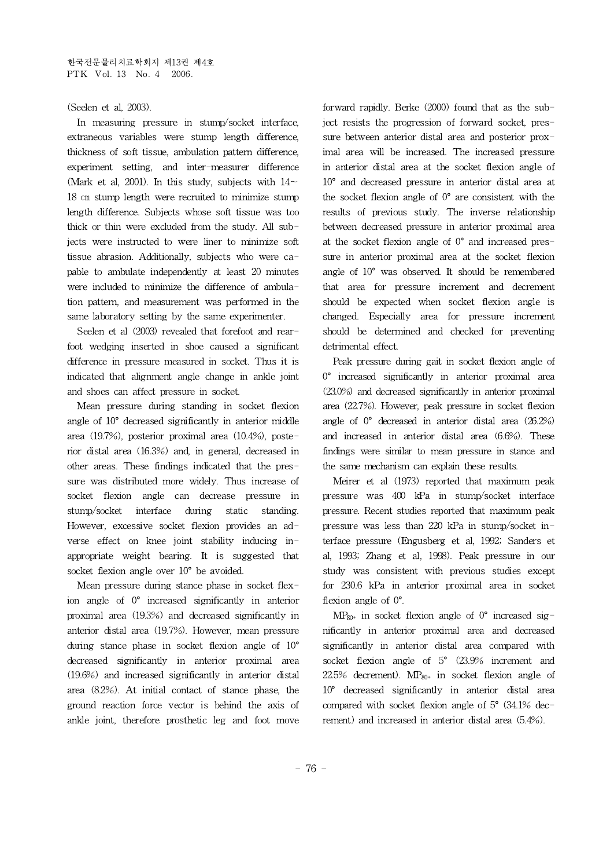# (Seelen et al, 2003).

In measuring pressure in stump/socket interface, extraneous variables were stump length difference, thickness of soft tissue, ambulation pattern difference, experiment setting, and inter-measurer difference (Mark et al, 2001). In this study, subjects with  $14\sim$ 18 ㎝ stump length were recruited to minimize stump length difference. Subjects whose soft tissue was too thick or thin were excluded from the study. All subjects were instructed to were liner to minimize soft tissue abrasion. Additionally, subjects who were capable to ambulate independently at least 20 minutes were included to minimize the difference of ambulation pattern, and measurement was performed in the same laboratory setting by the same experimenter.

Seelen et al (2003) revealed that forefoot and rearfoot wedging inserted in shoe caused a significant difference in pressure measured in socket. Thus it is indicated that alignment angle change in ankle joint and shoes can affect pressure in socket.

Mean pressure during standing in socket flexion angle of 10° decreased significantly in anterior middle area (19.7%), posterior proximal area (10.4%), posterior distal area (16.3%) and, in general, decreased in other areas. These findings indicated that the pressure was distributed more widely. Thus increase of socket flexion angle can decrease pressure in stump/socket interface during static standing. However, excessive socket flexion provides an adverse effect on knee joint stability inducing inappropriate weight bearing. It is suggested that socket flexion angle over 10° be avoided.

Mean pressure during stance phase in socket flexion angle of 0° increased significantly in anterior proximal area (19.3%) and decreased significantly in anterior distal area (19.7%). However, mean pressure during stance phase in socket flexion angle of 10° decreased significantly in anterior proximal area (19.6%) and increased significantly in anterior distal area (8.2%). At initial contact of stance phase, the ground reaction force vector is behind the axis of ankle joint, therefore prosthetic leg and foot move

forward rapidly. Berke (2000) found that as the subject resists the progression of forward socket, pressure between anterior distal area and posterior proximal area will be increased. The increased pressure in anterior distal area at the socket flexion angle of 10° and decreased pressure in anterior distal area at the socket flexion angle of  $0^{\circ}$  are consistent with the results of previous study. The inverse relationship between decreased pressure in anterior proximal area at the socket flexion angle of 0° and increased pressure in anterior proximal area at the socket flexion angle of 10° was observed. It should be remembered that area for pressure increment and decrement should be expected when socket flexion angle is changed. Especially area for pressure increment should be determined and checked for preventing detrimental effect.

Peak pressure during gait in socket flexion angle of 0° increased significantly in anterior proximal area (23.0%) and decreased significantly in anterior proximal area (22.7%). However, peak pressure in socket flexion angle of 0° decreased in anterior distal area (26.2%) and increased in anterior distal area (6.6%). These findings were similar to mean pressure in stance and the same mechanism can explain these results.

Meirer et al (1973) reported that maximum peak pressure was 400 kPa in stump/socket interface pressure. Recent studies reported that maximum peak pressure was less than 220 kPa in stump/socket interface pressure (Engusberg et al, 1992; Sanders et al, 1993; Zhang et al, 1998). Peak pressure in our study was consistent with previous studies except for 230.6 kPa in anterior proximal area in socket flexion angle of  $0^\circ$ .

 $MP_{80+}$  in socket flexion angle of  $0^{\circ}$  increased significantly in anterior proximal area and decreased significantly in anterior distal area compared with socket flexion angle of 5° (23.9% increment and  $22.5\%$  decrement). MP<sub>80<sup>+</sup></sub> in socket flexion angle of 10° decreased significantly in anterior distal area compared with socket flexion angle of  $5^{\circ}$  (34.1% decrement) and increased in anterior distal area (5.4%).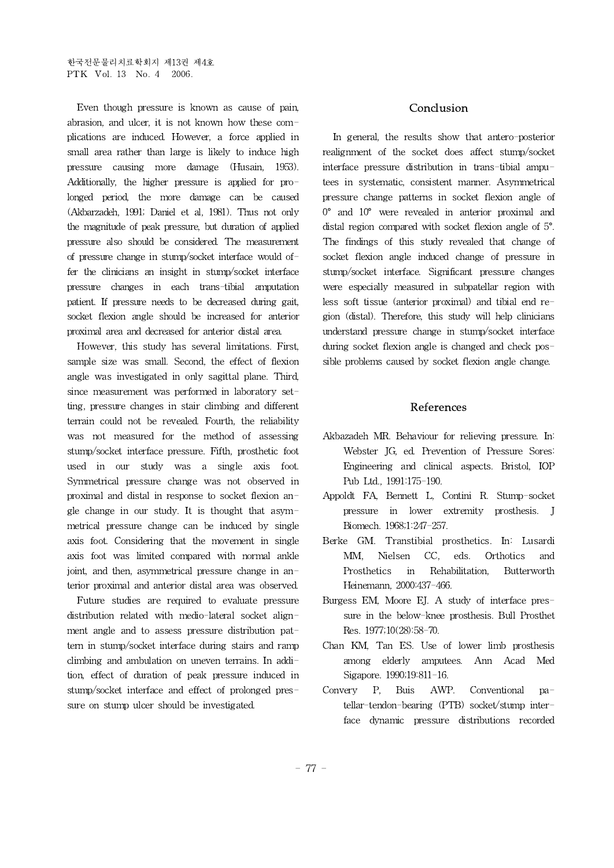Even though pressure is known as cause of pain, abrasion, and ulcer, it is not known how these complications are induced. However, a force applied in small area rather than large is likely to induce high pressure causing more damage (Husain, 1953). Additionally, the higher pressure is applied for prolonged period, the more damage can be caused (Akbarzadeh, 1991; Daniel et al, 1981). Thus not only the magnitude of peak pressure, but duration of applied pressure also should be considered. The measurement of pressure change in stump/socket interface would offer the clinicians an insight in stump/socket interface pressure changes in each trans-tibial amputation patient. If pressure needs to be decreased during gait, socket flexion angle should be increased for anterior proximal area and decreased for anterior distal area.

However, this study has several limitations. First, sample size was small. Second, the effect of flexion angle was investigated in only sagittal plane. Third, since measurement was performed in laboratory setting, pressure changes in stair climbing and different terrain could not be revealed. Fourth, the reliability was not measured for the method of assessing stump/socket interface pressure. Fifth, prosthetic foot used in our study was a single axis foot. Symmetrical pressure change was not observed in proximal and distal in response to socket flexion angle change in our study. It is thought that asymmetrical pressure change can be induced by single axis foot. Considering that the movement in single axis foot was limited compared with normal ankle joint, and then, asymmetrical pressure change in anterior proximal and anterior distal area was observed.

Future studies are required to evaluate pressure distribution related with medio-lateral socket alignment angle and to assess pressure distribution pattern in stump/socket interface during stairs and ramp climbing and ambulation on uneven terrains. In addition, effect of duration of peak pressure induced in stump/socket interface and effect of prolonged pressure on stump ulcer should be investigated.

## Conclusion

In general, the results show that antero-posterior realignment of the socket does affect stump/socket interface pressure distribution in trans-tibial amputees in systematic, consistent manner. Asymmetrical pressure change patterns in socket flexion angle of 0° and 10° were revealed in anterior proximal and distal region compared with socket flexion angle of 5°. The findings of this study revealed that change of socket flexion angle induced change of pressure in stump/socket interface. Significant pressure changes were especially measured in subpatellar region with less soft tissue (anterior proximal) and tibial end region (distal). Therefore, this study will help clinicians understand pressure change in stump/socket interface during socket flexion angle is changed and check possible problems caused by socket flexion angle change.

## References

- Akbazadeh MR. Behaviour for relieving pressure. In: Webster JG, ed. Prevention of Pressure Sores: Engineering and clinical aspects. Bristol, IOP Pub Ltd.,1991:175-190.
- Appoldt FA, Bennett L, Contini R. Stump-socket pressure in lower extremity prosthesis. J Biomech. 1968;1:247-257.
- Berke GM. Transtibial prosthetics. In: Lusardi MM, Nielsen CC, eds. Orthotics and Prosthetics in Rehabilitation, Butterworth Heinemann, 2000:437-466.
- Burgess EM, Moore EJ. A study of interface pressure in the below-knee prosthesis. Bull Prosthet Res. 1977;10(28):58-70.
- Chan KM, Tan ES. Use of lower limb prosthesis among elderly amputees. Ann Acad Med Sigapore. 1990;19:811-16.
- Convery P, Buis AWP. Conventional patellar-tendon-bearing (PTB) socket/stump interface dynamic pressure distributions recorded